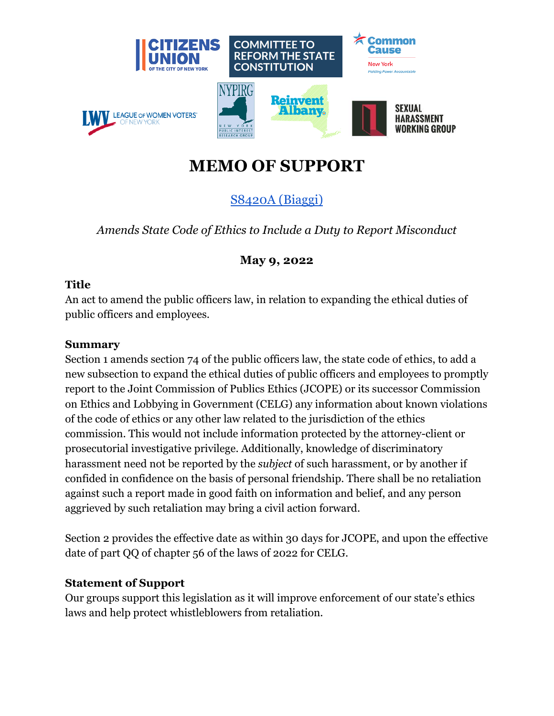

# **MEMO OF SUPPORT**

## [S8420A](https://www.nysenate.gov/legislation/bills/2021/s8420/amendment/original) (Biaggi)

*Amends State Code of Ethics to Include a Duty to Report Misconduct*

### **May 9, 2022**

#### **Title**

An act to amend the public officers law, in relation to expanding the ethical duties of public officers and employees.

#### **Summary**

Section 1 amends section 74 of the public officers law, the state code of ethics, to add a new subsection to expand the ethical duties of public officers and employees to promptly report to the Joint Commission of Publics Ethics (JCOPE) or its successor Commission on Ethics and Lobbying in Government (CELG) any information about known violations of the code of ethics or any other law related to the jurisdiction of the ethics commission. This would not include information protected by the attorney-client or prosecutorial investigative privilege. Additionally, knowledge of discriminatory harassment need not be reported by the *subject* of such harassment, or by another if confided in confidence on the basis of personal friendship. There shall be no retaliation against such a report made in good faith on information and belief, and any person aggrieved by such retaliation may bring a civil action forward.

Section 2 provides the effective date as within 30 days for JCOPE, and upon the effective date of part QQ of chapter 56 of the laws of 2022 for CELG.

#### **Statement of Support**

Our groups support this legislation as it will improve enforcement of our state's ethics laws and help protect whistleblowers from retaliation.